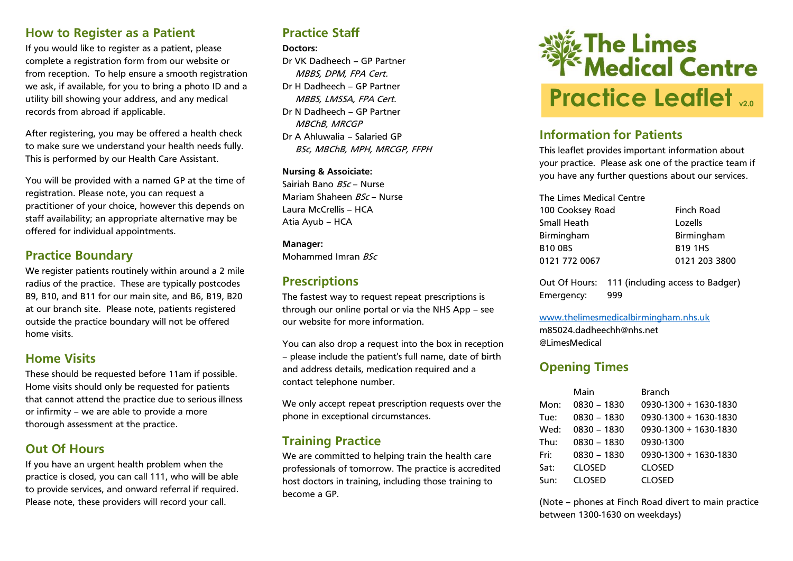#### **How to Register as a Patient**

If you would like to register as a patient, please complete a registration form from our website or from reception. To help ensure a smooth registration we ask, if available, for you to bring a photo ID and a utility bill showing your address, and any medical records from abroad if applicable.

After registering, you may be offered a health check to make sure we understand your health needs fully. This is performed by our Health Care Assistant.

You will be provided with a named GP at the time of registration. Please note, you can request a practitioner of your choice, however this depends on staff availability; an appropriate alternative may be offered for individual appointments.

## **Practice Boundary**

We register patients routinely within around a 2 mile radius of the practice. These are typically postcodes B9, B10, and B11 for our main site, and B6, B19, B20 at our branch site. Please note, patients registered outside the practice boundary will not be offered home visits.

### **Home Visits**

These should be requested before 11am if possible. Home visits should only be requested for patients that cannot attend the practice due to serious illness or infirmity – we are able to provide a more thorough assessment at the practice.

### **Out Of Hours**

If you have an urgent health problem when the practice is closed, you can call 111, who will be able to provide services, and onward referral if required. Please note, these providers will record your call.

# **Practice Staff**

#### **Doctors:**

Dr VK Dadheech – GP Partner MBBS, DPM, FPA Cert. Dr H Dadheech – GP Partner MBBS, LMSSA, FPA Cert. Dr N Dadheech – GP Partner MBChB, MRCGP Dr A Ahluwalia – Salaried GP BSc, MBChB, MPH, MRCGP, FFPH

**Nursing & Assoiciate:** Sairiah Bano BSc – Nurse Mariam Shaheen BSc – Nurse Laura McCrellis – HCA Atia Ayub – HCA

**Manager:** Mohammed Imran BSc

# **Prescriptions**

The fastest way to request repeat prescriptions is through our online portal or via the NHS App – see our website for more information.

You can also drop a request into the box in reception – please include the patient's full name, date of birth and address details, medication required and a contact telephone number.

We only accept repeat prescription requests over the phone in exceptional circumstances.

# **Training Practice**

We are committed to helping train the health care professionals of tomorrow. The practice is accredited host doctors in training, including those training to become a GP.



# **Information for Patients**

This leaflet provides important information about your practice. Please ask one of the practice team if you have any further questions about our services.

| The Limes Medical Centre |                   |
|--------------------------|-------------------|
| 100 Cooksey Road         | <b>Finch Road</b> |
| Small Heath              | Lozells           |
| Birmingham               | Birmingham        |
| <b>B10 0BS</b>           | <b>B19 1HS</b>    |
| 0121 772 0067            | 0121 203 3800     |

Out Of Hours: 111 (including access to Badger) Emergency: 999

[www.thelimesmedicalbirmingham.nhs.uk](http://www.thelimesmedicalbirmingham.nhs.uk/) m85024.dadheechh@nhs.net @LimesMedical

# **Opening Times**

|      | Main          | <b>Branch</b>           |
|------|---------------|-------------------------|
| Mon: | $0830 - 1830$ | 0930-1300 + 1630-1830   |
| Tue: | 0830 - 1830   | 0930-1300 + 1630-1830   |
| Wed: | 0830 - 1830   | 0930-1300 + 1630-1830   |
| Thu: | 0830 - 1830   | 0930-1300               |
| Fri: | 0830 - 1830   | $0930-1300 + 1630-1830$ |
| Sat: | <b>CLOSED</b> | <b>CLOSED</b>           |
| Sun: | <b>CLOSED</b> | <b>CLOSED</b>           |

(Note – phones at Finch Road divert to main practice between 1300-1630 on weekdays)